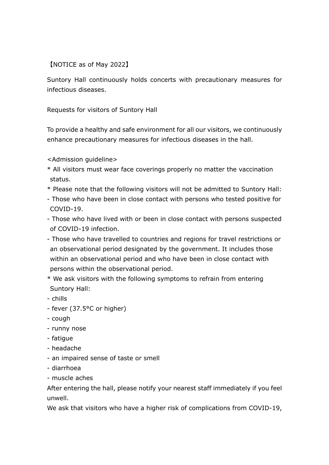## 【NOTICE as of May 2022】

Suntory Hall continuously holds concerts with precautionary measures for infectious diseases.

Requests for visitors of Suntory Hall

To provide a healthy and safe environment for all our visitors, we continuously enhance precautionary measures for infectious diseases in the hall.

- <Admission guideline>
- \* All visitors must wear face coverings properly no matter the vaccination status.
- \* Please note that the following visitors will not be admitted to Suntory Hall:
- Those who have been in close contact with persons who tested positive for COVID-19.
- Those who have lived with or been in close contact with persons suspected of COVID-19 infection.
- Those who have travelled to countries and regions for travel restrictions or an observational period designated by the government. It includes those within an observational period and who have been in close contact with persons within the observational period.
- \* We ask visitors with the following symptoms to refrain from entering Suntory Hall:
- chills
- fever (37.5°C or higher)
- cough
- runny nose
- fatigue
- headache
- an impaired sense of taste or smell
- diarrhoea
- muscle aches

After entering the hall, please notify your nearest staff immediately if you feel unwell.

We ask that visitors who have a higher risk of complications from COVID-19,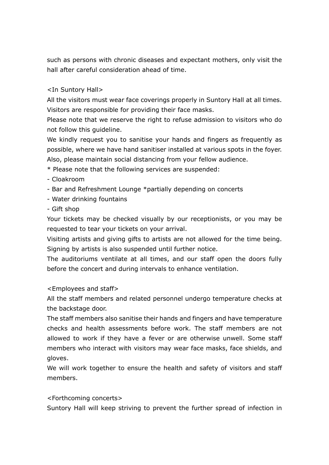such as persons with chronic diseases and expectant mothers, only visit the hall after careful consideration ahead of time.

## <In Suntory Hall>

All the visitors must wear face coverings properly in Suntory Hall at all times. Visitors are responsible for providing their face masks.

Please note that we reserve the right to refuse admission to visitors who do not follow this guideline.

We kindly request you to sanitise your hands and fingers as frequently as possible, where we have hand sanitiser installed at various spots in the foyer. Also, please maintain social distancing from your fellow audience.

- \* Please note that the following services are suspended:
- Cloakroom
- Bar and Refreshment Lounge \*partially depending on concerts
- Water drinking fountains
- Gift shop

Your tickets may be checked visually by our receptionists, or you may be requested to tear your tickets on your arrival.

Visiting artists and giving gifts to artists are not allowed for the time being. Signing by artists is also suspended until further notice.

The auditoriums ventilate at all times, and our staff open the doors fully before the concert and during intervals to enhance ventilation.

## <Employees and staff>

All the staff members and related personnel undergo temperature checks at the backstage door.

The staff members also sanitise their hands and fingers and have temperature checks and health assessments before work. The staff members are not allowed to work if they have a fever or are otherwise unwell. Some staff members who interact with visitors may wear face masks, face shields, and gloves.

We will work together to ensure the health and safety of visitors and staff members.

## <Forthcoming concerts>

Suntory Hall will keep striving to prevent the further spread of infection in